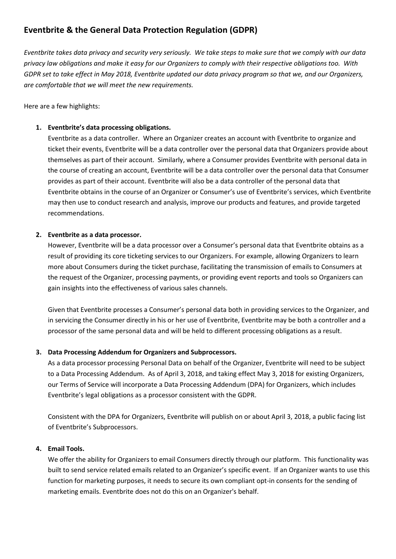# **Eventbrite & the General Data Protection Regulation (GDPR)**

*Eventbrite takes data privacy and security very seriously. We take steps to make sure that we comply with our data privacy law obligations and make it easy for our Organizers to comply with their respective obligations too. With GDPR set to take effect in May 2018, Eventbrite updated our data privacy program so that we, and our Organizers, are comfortable that we will meet the new requirements.* 

Here are a few highlights:

## **1. Eventbrite's data processing obligations.**

Eventbrite as a data controller. Where an Organizer creates an account with Eventbrite to organize and ticket their events, Eventbrite will be a data controller over the personal data that Organizers provide about themselves as part of their account. Similarly, where a Consumer provides Eventbrite with personal data in the course of creating an account, Eventbrite will be a data controller over the personal data that Consumer provides as part of their account. Eventbrite will also be a data controller of the personal data that Eventbrite obtains in the course of an Organizer or Consumer's use of Eventbrite's services, which Eventbrite may then use to conduct research and analysis, improve our products and features, and provide targeted recommendations.

## **2. Eventbrite as a data processor.**

However, Eventbrite will be a data processor over a Consumer's personal data that Eventbrite obtains as a result of providing its core ticketing services to our Organizers. For example, allowing Organizers to learn more about Consumers during the ticket purchase, facilitating the transmission of emails to Consumers at the request of the Organizer, processing payments, or providing event reports and tools so Organizers can gain insights into the effectiveness of various sales channels.

Given that Eventbrite processes a Consumer's personal data both in providing services to the Organizer, and in servicing the Consumer directly in his or her use of Eventbrite, Eventbrite may be both a controller and a processor of the same personal data and will be held to different processing obligations as a result.

## **3. Data Processing Addendum for Organizers and Subprocessors.**

As a data processor processing Personal Data on behalf of the Organizer, Eventbrite will need to be subject to a Data Processing Addendum. As of April 3, 2018, and taking effect May 3, 2018 for existing Organizers, our Terms of Service will incorporate a Data Processing Addendum (DPA) for Organizers, which includes Eventbrite's legal obligations as a processor consistent with the GDPR.

Consistent with the DPA for Organizers, Eventbrite will publish on or about April 3, 2018, a public facing list of Eventbrite's Subprocessors.

## **4. Email Tools.**

We offer the ability for Organizers to email Consumers directly through our platform. This functionality was built to send service related emails related to an Organizer's specific event. If an Organizer wants to use this function for marketing purposes, it needs to secure its own compliant opt-in consents for the sending of marketing emails. Eventbrite does not do this on an Organizer's behalf.